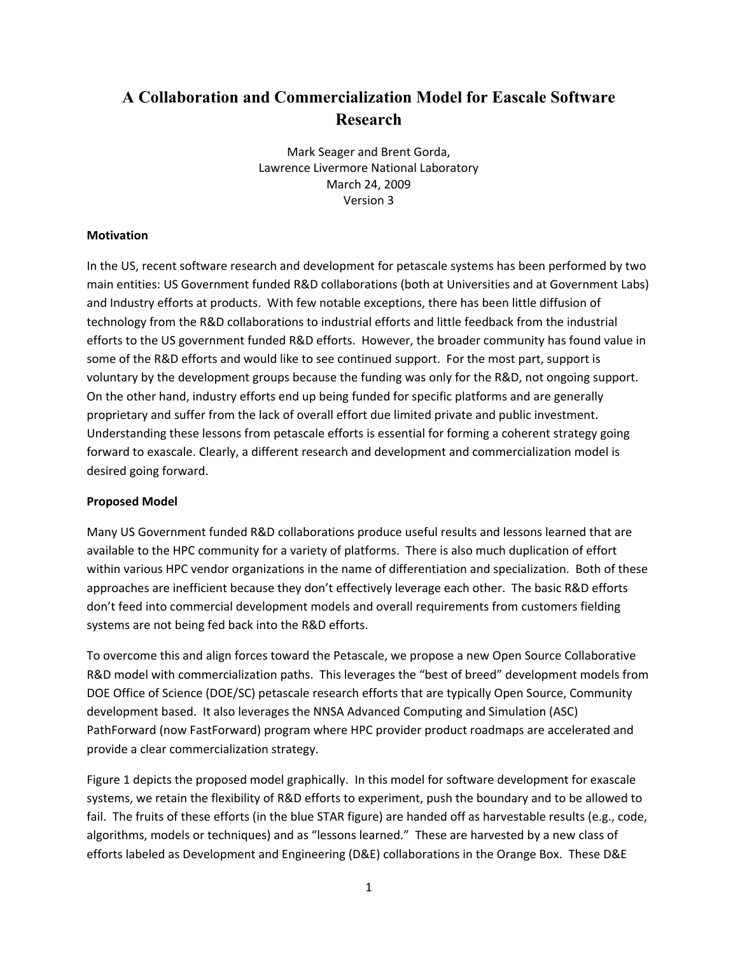## **A Collaboration and Commercialization Model for Eascale Software Research**

Mark
Seager
and
Brent
Gorda, Lawrence
Livermore
National
Laboratory March
24,
2009 Version
3

## **Motivation**

In
the
US,
recent
software
research
and
development
for
petascale
systems
has
been
performed
by
two main
entities:
US
Government
funded
R&D
collaborations
(both
at
Universities
and
at
Government
Labs) and Industry efforts at products. With few notable exceptions, there has been little diffusion of technology
from
the
R&D
collaborations
to
industrial
efforts
and
little
feedback
from
the
industrial efforts to the US government funded R&D efforts. However, the broader community has found value in some of the R&D efforts and would like to see continued support. For the most part, support is voluntary by the development groups because the funding was only for the R&D, not ongoing support. On the other hand, industry efforts end up being funded for specific platforms and are generally proprietary
and
suffer
from
the
lack
of
overall
effort
due
limited
private
and
public
investment. Understanding
these
lessons
from
petascale
efforts
is
essential
for
forming
a
coherent
strategy
going forward to exascale. Clearly, a different research and development and commercialization model is desired
going
forward.

## **Proposed
Model**

Many US Government funded R&D collaborations produce useful results and lessons learned that are available to the HPC community for a variety of platforms. There is also much duplication of effort within various HPC vendor organizations in the name of differentiation and specialization. Both of these approaches
are
inefficient
because
they
don't
effectively
leverage
each
other.

The
basic
R&D
efforts don't
feed
into
commercial
development
models
and
overall
requirements
from
customers
fielding systems
are
not
being
fed
back
into
the
R&D
efforts.

To
overcome
this
and
align
forces
toward
the
Petascale,
we
propose
a
new
Open
Source
Collaborative R&D model with commercialization paths. This leverages the "best of breed" development models from DOE Office of Science (DOE/SC) petascale research efforts that are typically Open Source, Community development
based.

It
also
leverages
the
NNSA
Advanced
Computing
and
Simulation
(ASC) PathForward (now FastForward) program where HPC provider product roadmaps are accelerated and provide
a
clear
commercialization
strategy.

Figure 1 depicts the proposed model graphically. In this model for software development for exascale systems, we retain the flexibility of R&D efforts to experiment, push the boundary and to be allowed to fail. The fruits of these efforts (in the blue STAR figure) are handed off as harvestable results (e.g., code, algorithms, models or techniques) and as "lessons learned." These are harvested by a new class of efforts labeled as Development and Engineering (D&E) collaborations in the Orange Box. These D&E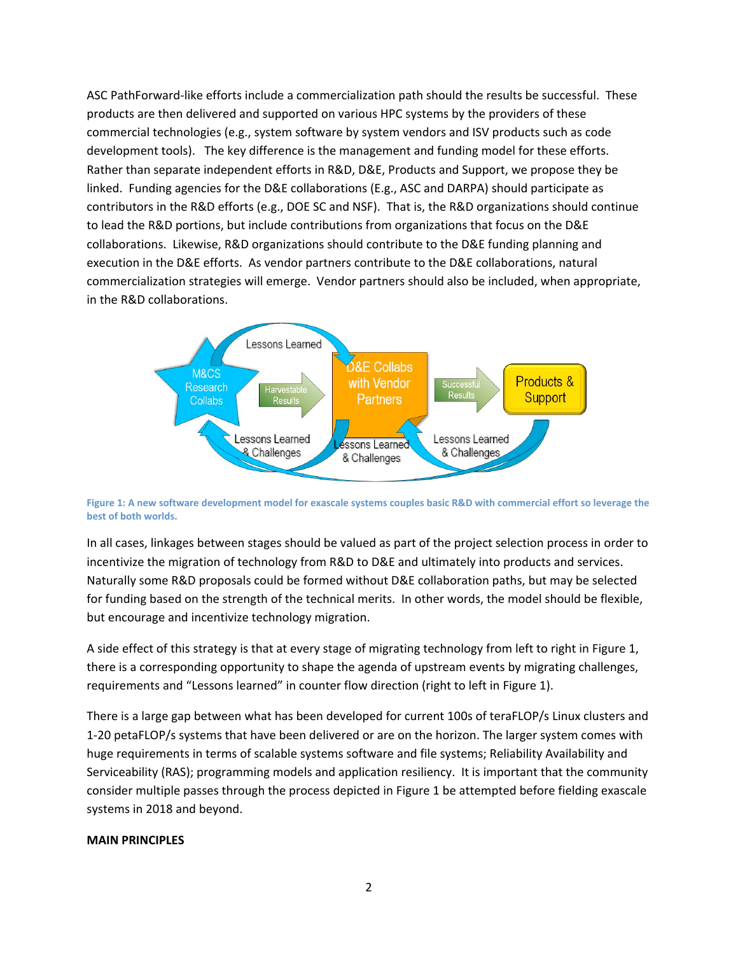ASC
PathForward‐like
efforts
include
a
commercialization
path
should
the
results
be
successful.

These products
are
then
delivered
and
supported
on
various
HPC
systems
by
the
providers
of
these commercial technologies (e.g., system software by system vendors and ISV products such as code development tools). The key difference is the management and funding model for these efforts. Rather than separate independent efforts in R&D, D&E, Products and Support, we propose they be linked. Funding agencies for the D&E collaborations (E.g., ASC and DARPA) should participate as contributors in the R&D efforts (e.g., DOE SC and NSF). That is, the R&D organizations should continue to lead the R&D portions, but include contributions from organizations that focus on the D&E collaborations. Likewise, R&D organizations should contribute to the D&E funding planning and execution in the D&E efforts. As vendor partners contribute to the D&E collaborations, natural commercialization
strategies
will
emerge.

Vendor
partners
should
also
be
included,
when
appropriate, in
the
R&D
collaborations.



Figure 1: A new software development model for exascale systems couples basic R&D with commercial effort so leverage the **best
of
both
worlds.**

In all cases, linkages between stages should be valued as part of the project selection process in order to incentivize the migration of technology from R&D to D&E and ultimately into products and services. Naturally some R&D proposals could be formed without D&E collaboration paths, but may be selected for funding based on the strength of the technical merits. In other words, the model should be flexible, but
encourage
and
incentivize
technology
migration.

A side effect of this strategy is that at every stage of migrating technology from left to right in Figure 1, there
is
a
corresponding
opportunity
to
shape
the
agenda
of
upstream
events
by
migrating
challenges, requirements and "Lessons learned" in counter flow direction (right to left in Figure 1).

There
is
a
large
gap
between
what
has
been
developed
for
current
100s
of
teraFLOP/s
Linux
clusters
and 1-20 petaFLOP/s systems that have been delivered or are on the horizon. The larger system comes with huge requirements in terms of scalable systems software and file systems; Reliability Availability and Serviceability (RAS); programming models and application resiliency. It is important that the community consider multiple passes through the process depicted in Figure 1 be attempted before fielding exascale systems
in
2018
and
beyond.

## **MAIN
PRINCIPLES**